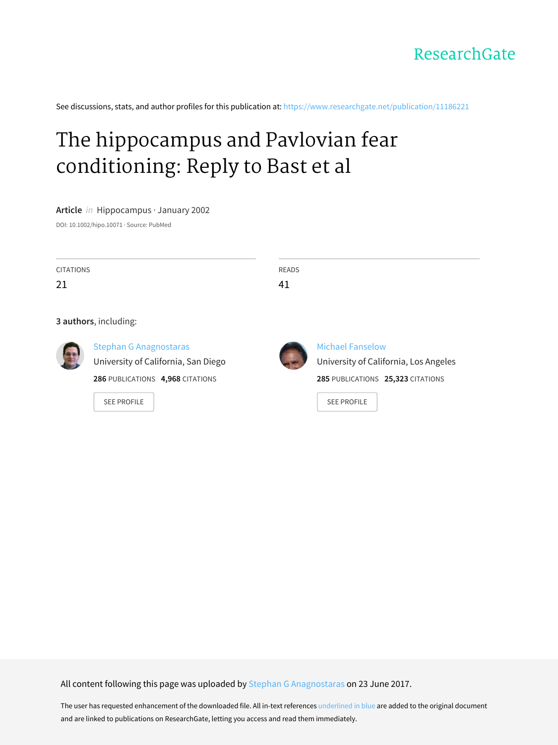

See discussions, stats, and author profiles for this publication at: [https://www.researchgate.net/publication/11186221](https://www.researchgate.net/publication/11186221_The_hippocampus_and_Pavlovian_fear_conditioning_Reply_to_Bast_et_al?enrichId=rgreq-ecf01c2f8ce868253bb04695d261f469-XXX&enrichSource=Y292ZXJQYWdlOzExMTg2MjIxO0FTOjEwMTk5MzI3NjI0ODA2NEAxNDAxMzI4NTAwMTUy&el=1_x_2&_esc=publicationCoverPdf)

# The [hippocampus](https://www.researchgate.net/publication/11186221_The_hippocampus_and_Pavlovian_fear_conditioning_Reply_to_Bast_et_al?enrichId=rgreq-ecf01c2f8ce868253bb04695d261f469-XXX&enrichSource=Y292ZXJQYWdlOzExMTg2MjIxO0FTOjEwMTk5MzI3NjI0ODA2NEAxNDAxMzI4NTAwMTUy&el=1_x_3&_esc=publicationCoverPdf) and Pavlovian fear conditioning: Reply to Bast et al

#### **Article** in Hippocampus · January 2002

DOI: 10.1002/hipo.10071 · Source: PubMed

| <b>CITATIONS</b> |                                     | <b>READS</b> |                                      |
|------------------|-------------------------------------|--------------|--------------------------------------|
| 21               |                                     | 41           |                                      |
|                  |                                     |              |                                      |
|                  | 3 authors, including:               |              |                                      |
| 2                | <b>Stephan G Anagnostaras</b>       |              | <b>Michael Fanselow</b>              |
|                  | University of California, San Diego |              | University of California Los Angeles |

University of [California,](https://www.researchgate.net/institution/University_of_California_San_Diego2?enrichId=rgreq-ecf01c2f8ce868253bb04695d261f469-XXX&enrichSource=Y292ZXJQYWdlOzExMTg2MjIxO0FTOjEwMTk5MzI3NjI0ODA2NEAxNDAxMzI4NTAwMTUy&el=1_x_6&_esc=publicationCoverPdf) San Diego **286** PUBLICATIONS **4,968** CITATIONS

SEE [PROFILE](https://www.researchgate.net/profile/Stephan_Anagnostaras?enrichId=rgreq-ecf01c2f8ce868253bb04695d261f469-XXX&enrichSource=Y292ZXJQYWdlOzExMTg2MjIxO0FTOjEwMTk5MzI3NjI0ODA2NEAxNDAxMzI4NTAwMTUy&el=1_x_7&_esc=publicationCoverPdf)

**STEP** 



University of [California,](https://www.researchgate.net/institution/University_of_California_Los_Angeles?enrichId=rgreq-ecf01c2f8ce868253bb04695d261f469-XXX&enrichSource=Y292ZXJQYWdlOzExMTg2MjIxO0FTOjEwMTk5MzI3NjI0ODA2NEAxNDAxMzI4NTAwMTUy&el=1_x_6&_esc=publicationCoverPdf) Los Angeles **285** PUBLICATIONS **25,323** CITATIONS

SEE [PROFILE](https://www.researchgate.net/profile/Michael_Fanselow?enrichId=rgreq-ecf01c2f8ce868253bb04695d261f469-XXX&enrichSource=Y292ZXJQYWdlOzExMTg2MjIxO0FTOjEwMTk5MzI3NjI0ODA2NEAxNDAxMzI4NTAwMTUy&el=1_x_7&_esc=publicationCoverPdf)

All content following this page was uploaded by Stephan G [Anagnostaras](https://www.researchgate.net/profile/Stephan_Anagnostaras?enrichId=rgreq-ecf01c2f8ce868253bb04695d261f469-XXX&enrichSource=Y292ZXJQYWdlOzExMTg2MjIxO0FTOjEwMTk5MzI3NjI0ODA2NEAxNDAxMzI4NTAwMTUy&el=1_x_10&_esc=publicationCoverPdf) on 23 June 2017.

The user has requested enhancement of the downloaded file. All in-text references underlined in blue are added to the original document and are linked to publications on ResearchGate, letting you access and read them immediately.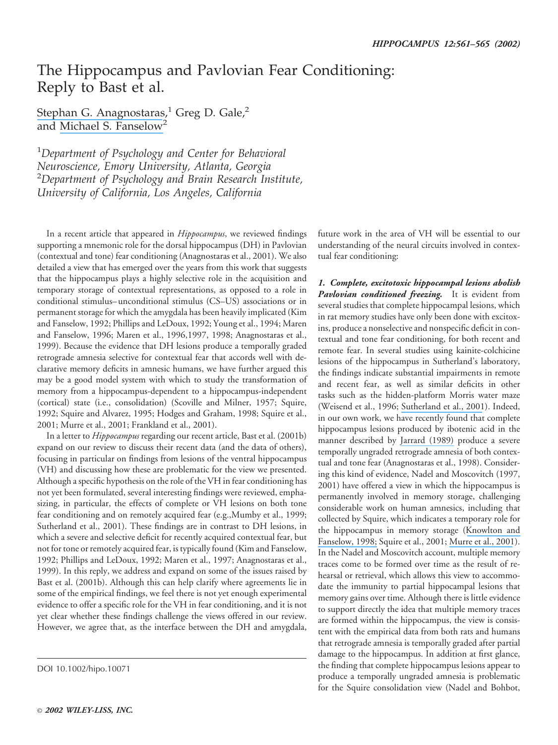## The Hippocampus and Pavlovian Fear Conditioning: Reply to Bast et al.

## Stephan G. [Anagnostaras](https://www.researchgate.net/profile/Stephan_Anagnostaras?el=1_x_100&enrichId=rgreq-ecf01c2f8ce868253bb04695d261f469-XXX&enrichSource=Y292ZXJQYWdlOzExMTg2MjIxO0FTOjEwMTk5MzI3NjI0ODA2NEAxNDAxMzI4NTAwMTUy),<sup>1</sup> Greg D. Gale,<sup>2</sup> and Michael S. [Fanselow](https://www.researchgate.net/profile/Michael_Fanselow?el=1_x_100&enrichId=rgreq-ecf01c2f8ce868253bb04695d261f469-XXX&enrichSource=Y292ZXJQYWdlOzExMTg2MjIxO0FTOjEwMTk5MzI3NjI0ODA2NEAxNDAxMzI4NTAwMTUy)<sup>2</sup>

1 *Department of Psychology and Center for Behavioral Neuroscience, Emory University, Atlanta, Georgia* 2 *Department of Psychology and Brain Research Institute, University of California, Los Angeles, California*

In a recent article that appeared in *Hippocampus*, we reviewed findings supporting a mnemonic role for the dorsal hippocampus (DH) in Pavlovian (contextual and tone) fear conditioning (Anagnostaras et al., 2001). We also detailed a view that has emerged over the years from this work that suggests that the hippocampus plays a highly selective role in the acquisition and temporary storage of contextual representations, as opposed to a role in conditional stimulus–unconditional stimulus (CS–US) associations or in permanent storage for which the amygdala has been heavily implicated (Kim and Fanselow, 1992; Phillips and LeDoux, 1992; Young et al., 1994; Maren and Fanselow, 1996; Maren et al., 1996,1997, 1998; Anagnostaras et al., 1999). Because the evidence that DH lesions produce a temporally graded retrograde amnesia selective for contextual fear that accords well with declarative memory deficits in amnesic humans, we have further argued this may be a good model system with which to study the transformation of memory from a hippocampus-dependent to a hippocampus-independent (cortical) state (i.e., consolidation) (Scoville and Milner, 1957; Squire, 1992; Squire and Alvarez, 1995; Hodges and Graham, 1998; Squire et al., 2001; Murre et al., 2001; Frankland et al., 2001).

In a letter to *Hippocampus* regarding our recent article, Bast et al. (2001b) expand on our review to discuss their recent data (and the data of others), focusing in particular on findings from lesions of the ventral hippocampus (VH) and discussing how these are problematic for the view we presented. Although a specific hypothesis on therole of the VH in fear conditioning has not yet been formulated, several interesting findings were reviewed, emphasizing, in particular, the effects of complete or VH lesions on both tone fear conditioning and on remotely acquired fear (e.g.,Mumby et al., 1999; Sutherland et al., 2001). These findings are in contrast to DH lesions, in which a severe and selective deficit for recently acquired contextual fear, but not for tone or remotely acquired fear, is typically found (Kim and Fanselow, 1992; Phillips and LeDoux, 1992; Maren et al., 1997; Anagnostaras et al., 1999). In this reply, we address and expand on some of the issues raised by Bast et al. (2001b). Although this can help clarify where agreements lie in some of the empirical findings, we feel there is not yet enough experimental evidence to offer a specific role for the VH in fear conditioning, and it is not yet clear whether these findings challenge the views offered in our review. However, we agree that, as the interface between the DH and amygdala,

future work in the area of VH will be essential to our understanding of the neural circuits involved in contextual fear conditioning:

*1. Complete, excitotoxic hippocampal lesions abolish Pavlovian conditioned freezing.* It is evident from several studies that complete hippocampal lesions, which in rat memory studies have only been done with excitoxins, produce a nonselective and nonspecific deficit in contextual and tone fear conditioning, for both recent and remote fear. In several studies using kainite-colchicine lesions of the hippocampus in Sutherland's laboratory, the findings indicate substantial impairments in remote and recent fear, as well as similar deficits in other tasks such as the hidden-platform Morris water maze (Weisend et al., 1996; [Sutherland](https://www.researchgate.net/publication/12070618_Retrograde_amnesia_after_hippocampal_damage_Recent_vs_remote_memories_in_two_tasks?el=1_x_8&enrichId=rgreq-ecf01c2f8ce868253bb04695d261f469-XXX&enrichSource=Y292ZXJQYWdlOzExMTg2MjIxO0FTOjEwMTk5MzI3NjI0ODA2NEAxNDAxMzI4NTAwMTUy) et al., 2001). Indeed, in our own work, we have recently found that complete hippocampus lesions produced by ibotenic acid in the manner described by Jarrard [\(1989\)](https://www.researchgate.net/publication/20677788_On_the_use_of_ibotenic_acid_to_lesion_selectively_different_components_of_the_hippocampal_formation?el=1_x_8&enrichId=rgreq-ecf01c2f8ce868253bb04695d261f469-XXX&enrichSource=Y292ZXJQYWdlOzExMTg2MjIxO0FTOjEwMTk5MzI3NjI0ODA2NEAxNDAxMzI4NTAwMTUy) produce a severe temporally ungraded retrograde amnesia of both contextual and tone fear (Anagnostaras et al., 1998). Considering this kind of evidence, Nadel and Moscovitch (1997, 2001) have offered a view in which the hippocampus is permanently involved in memory storage, challenging considerable work on human amnesics, including that collected by Squire, which indicates a temporary role for the hippocampus in memory storage ([Knowlton](https://www.researchgate.net/publication/13649813_The_hippocampus_consolidation_and_on-line_memory?el=1_x_8&enrichId=rgreq-ecf01c2f8ce868253bb04695d261f469-XXX&enrichSource=Y292ZXJQYWdlOzExMTg2MjIxO0FTOjEwMTk5MzI3NjI0ODA2NEAxNDAxMzI4NTAwMTUy) and [Fanselow,](https://www.researchgate.net/publication/13649813_The_hippocampus_consolidation_and_on-line_memory?el=1_x_8&enrichId=rgreq-ecf01c2f8ce868253bb04695d261f469-XXX&enrichSource=Y292ZXJQYWdlOzExMTg2MjIxO0FTOjEwMTk5MzI3NjI0ODA2NEAxNDAxMzI4NTAwMTUy) 1998; Squire et al., 2001; [Murre](https://www.researchgate.net/publication/12047191_Semantic_dementia_Relevance_to_connectionist_models_of_long-term_memory?el=1_x_8&enrichId=rgreq-ecf01c2f8ce868253bb04695d261f469-XXX&enrichSource=Y292ZXJQYWdlOzExMTg2MjIxO0FTOjEwMTk5MzI3NjI0ODA2NEAxNDAxMzI4NTAwMTUy) et al., 2001). In the Nadel and Moscovitch account, multiple memory traces come to be formed over time as the result of rehearsal or retrieval, which allows this view to accommodate the immunity to partial hippocampal lesions that memory gains over time. Although there is little evidence to support directly the idea that multiple memory traces are formed within the hippocampus, the view is consistent with the empirical data from both rats and humans that retrograde amnesia is temporally graded after partial damage to the hippocampus. In addition at first glance, the finding that complete hippocampus lesions appear to produce a temporally ungraded amnesia is problematic for the Squire consolidation view (Nadel and Bohbot,

DOI 10.1002/hipo.10071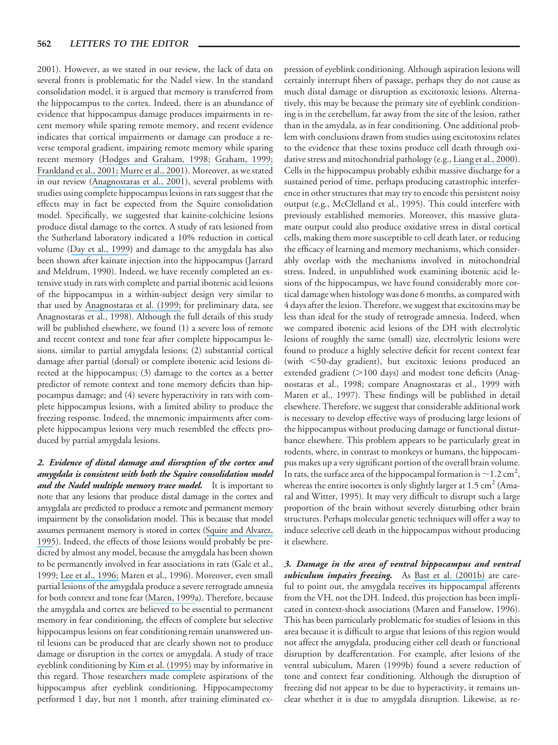2001). However, as we stated in our review, the lack of data on several fronts is problematic for the Nadel view. In the standard consolidation model, it is argued that memory is transferred from the hippocampus to the cortex. Indeed, there is an abundance of evidence that hippocampus damage produces impairments in recent memory while sparing remote memory, and recent evidence indicates that cortical impairments or damage can produce a reverse temporal gradient, impairing remote memory while sparing recent memory ([Hodges and Graham, 1998;](https://www.researchgate.net/publication/13535372_A_reversal_of_the_temporal_gradient_for_famous_person_knowledge_in_semantic_dementia_Implications_for_the_neural_organisation_of_long_term_memory?el=1_x_8&enrichId=rgreq-ecf01c2f8ce868253bb04695d261f469-XXX&enrichSource=Y292ZXJQYWdlOzExMTg2MjIxO0FTOjEwMTk5MzI3NjI0ODA2NEAxNDAxMzI4NTAwMTUy) [Graham, 1999;](https://www.researchgate.net/publication/12977127_Semantic_dementia_a_challenge_to_the_multiple-trace_theory?el=1_x_8&enrichId=rgreq-ecf01c2f8ce868253bb04695d261f469-XXX&enrichSource=Y292ZXJQYWdlOzExMTg2MjIxO0FTOjEwMTk5MzI3NjI0ODA2NEAxNDAxMzI4NTAwMTUy) [Frankland et al., 2001;](https://www.researchgate.net/publication/11981116_Alpha-CAMKII-dependent_plasticity_in_the_cortex_is_required_for_permanent_memory?el=1_x_8&enrichId=rgreq-ecf01c2f8ce868253bb04695d261f469-XXX&enrichSource=Y292ZXJQYWdlOzExMTg2MjIxO0FTOjEwMTk5MzI3NjI0ODA2NEAxNDAxMzI4NTAwMTUy) [Murre et al., 2001](https://www.researchgate.net/publication/12047191_Semantic_dementia_Relevance_to_connectionist_models_of_long-term_memory?el=1_x_8&enrichId=rgreq-ecf01c2f8ce868253bb04695d261f469-XXX&enrichSource=Y292ZXJQYWdlOzExMTg2MjIxO0FTOjEwMTk5MzI3NjI0ODA2NEAxNDAxMzI4NTAwMTUy)). Moreover, as we stated in our review ([Anagnostaras et al., 2001](https://www.researchgate.net/publication/289326100_Hippocampus_and_contextual_fear_conditioning_Recent_controversies_and_advances?el=1_x_8&enrichId=rgreq-ecf01c2f8ce868253bb04695d261f469-XXX&enrichSource=Y292ZXJQYWdlOzExMTg2MjIxO0FTOjEwMTk5MzI3NjI0ODA2NEAxNDAxMzI4NTAwMTUy)), several problems with studies using complete hippocampus lesions in rats suggest that the effects may in fact be expected from the Squire consolidation model. Specifically, we suggested that kainite-colchicine lesions produce distal damage to the cortex. A study of rats lesioned from the Sutherland laboratory indicated a 10% reduction in cortical volume ([Day et al., 1999](https://www.researchgate.net/publication/12728717_The_hippocampus_is_not_necessary_for_a_place_response_but_may_be_necessary_for_pliancy?el=1_x_8&enrichId=rgreq-ecf01c2f8ce868253bb04695d261f469-XXX&enrichSource=Y292ZXJQYWdlOzExMTg2MjIxO0FTOjEwMTk5MzI3NjI0ODA2NEAxNDAxMzI4NTAwMTUy)) and damage to the amygdala has also been shown after kainate injection into the hippocampus (Jarrard and Meldrum, 1990). Indeed, we have recently completed an extensive study in rats with complete and partial ibotenic acid lesions of the hippocampus in a within-subject design very similar to that used by [Anagnostaras et al. \(1999;](https://www.researchgate.net/publication/13367864_Temporally_Graded_Retrograde_Amnesia_of_Contextual_Fear_after_Hippocampal_Damage_in_Rats_Within-Subjects_Examination?el=1_x_8&enrichId=rgreq-ecf01c2f8ce868253bb04695d261f469-XXX&enrichSource=Y292ZXJQYWdlOzExMTg2MjIxO0FTOjEwMTk5MzI3NjI0ODA2NEAxNDAxMzI4NTAwMTUy) for preliminary data, see Anagnostaras et al., 1998). Although the full details of this study will be published elsewhere, we found (1) a severe loss of remote and recent context and tone fear after complete hippocampus lesions, similar to partial amygdala lesions; (2) substantial cortical damage after partial (dorsal) or complete ibotenic acid lesions directed at the hippocampus; (3) damage to the cortex as a better predictor of remote context and tone memory deficits than hippocampus damage; and (4) severe hyperactivity in rats with complete hippocampus lesions, with a limited ability to produce the freezing response. Indeed, the mnemonic impairments after complete hippocampus lesions very much resembled the effects produced by partial amygdala lesions.

*2. Evidence of distal damage and disruption of the cortex and amygdala is consistent with both the Squire consolidation model and the Nadel multiple memory trace model.* It is important to note that any lesions that produce distal damage in the cortex and amygdala are predicted to produce a remote and permanent memory impairment by the consolidation model. This is because that model assumes permanent memory is stored in cortex ([Squire and Alvarez,](https://www.researchgate.net/publication/15579451_Squire_L_R_Alvarez_P_Retrograde_amnesia_and_memory_consolidation_a_neurobiological_perspective_Curr_Opin_Neurobiol_5_169-177?el=1_x_8&enrichId=rgreq-ecf01c2f8ce868253bb04695d261f469-XXX&enrichSource=Y292ZXJQYWdlOzExMTg2MjIxO0FTOjEwMTk5MzI3NjI0ODA2NEAxNDAxMzI4NTAwMTUy) [1995](https://www.researchgate.net/publication/15579451_Squire_L_R_Alvarez_P_Retrograde_amnesia_and_memory_consolidation_a_neurobiological_perspective_Curr_Opin_Neurobiol_5_169-177?el=1_x_8&enrichId=rgreq-ecf01c2f8ce868253bb04695d261f469-XXX&enrichSource=Y292ZXJQYWdlOzExMTg2MjIxO0FTOjEwMTk5MzI3NjI0ODA2NEAxNDAxMzI4NTAwMTUy)). Indeed, the effects of those lesions would probably be predicted by almost any model, because the amygdala has been shown to be permanently involved in fear associations in rats (Gale et al., 1999; [Lee et al., 1996;](https://www.researchgate.net/publication/14343053_Lack_of_temporal_gradient_of_retrograde_amnesia_following_NMDA-induced_lesions_of_the_basolateral_amygdala_assessed_with_the_fear-potentiated_startle_paradigm?el=1_x_8&enrichId=rgreq-ecf01c2f8ce868253bb04695d261f469-XXX&enrichSource=Y292ZXJQYWdlOzExMTg2MjIxO0FTOjEwMTk5MzI3NjI0ODA2NEAxNDAxMzI4NTAwMTUy) Maren et al., 1996). Moreover, even small partial lesions of the amygdala produce a severe retrograde amnesia for both context and tone fear ([Maren, 1999a](https://www.researchgate.net/publication/12806007_Neurotoxic_Basolateral_Amygdala_Lesions_Impair_Learning_and_Memory_But_Not_the_Performance_of_Conditional_Fear_in_Rats?el=1_x_8&enrichId=rgreq-ecf01c2f8ce868253bb04695d261f469-XXX&enrichSource=Y292ZXJQYWdlOzExMTg2MjIxO0FTOjEwMTk5MzI3NjI0ODA2NEAxNDAxMzI4NTAwMTUy)). Therefore, because the amygdala and cortex are believed to be essential to permanent memory in fear conditioning, the effects of complete but selective hippocampus lesions on fear conditioning remain unanswered until lesions can be produced that are clearly shown not to produce damage or disruption in the cortex or amygdala. A study of trace eyeblink conditioning by [Kim et al. \(1995\)](https://www.researchgate.net/publication/15580456_Hippocampectomy_Impairs_the_Memory_of_Recently_but_Not_Remotely_Acquired_Trace_Eyeblink_Conditioned_Responses?el=1_x_8&enrichId=rgreq-ecf01c2f8ce868253bb04695d261f469-XXX&enrichSource=Y292ZXJQYWdlOzExMTg2MjIxO0FTOjEwMTk5MzI3NjI0ODA2NEAxNDAxMzI4NTAwMTUy) may by informative in this regard. Those researchers made complete aspirations of the hippocampus after eyeblink conditioning. Hippocampectomy performed 1 day, but not 1 month, after training eliminated expression of eyeblink conditioning. Although aspiration lesions will certainly interrupt fibers of passage, perhaps they do not cause as much distal damage or disruption as excitotoxic lesions. Alternatively, this may be because the primary site of eyeblink conditioning is in the cerebellum, far away from the site of the lesion, rather than in the amydala, as in fear conditioning. One additional problem with conclusions drawn from studies using excitotoxins relates to the evidence that these toxins produce cell death through oxidative stress and mitochondrial pathology (e.g., [Liang et al., 2000](https://www.researchgate.net/publication/12215458_Mitochondrial_superoxide_production_in_kainate-induced_hippocampal_damage?el=1_x_8&enrichId=rgreq-ecf01c2f8ce868253bb04695d261f469-XXX&enrichSource=Y292ZXJQYWdlOzExMTg2MjIxO0FTOjEwMTk5MzI3NjI0ODA2NEAxNDAxMzI4NTAwMTUy)). Cells in the hippocampus probably exhibit massive discharge for a sustained period of time, perhaps producing catastrophic interference in other structures that may try to encode this persistent noisy output (e.g., McClelland et al., 1995). This could interfere with previously established memories. Moreover, this massive glutamate output could also produce oxidative stress in distal cortical cells, making them more susceptible to cell death later, or reducing the efficacy of learning and memory mechanisms, which considerably overlap with the mechanisms involved in mitochondrial stress. Indeed, in unpublished work examining ibotenic acid lesions of the hippocampus, we have found considerably more cortical damage when histology was done 6 months, as compared with 4 days after the lesion. Therefore, we suggest that excitoxins may be less than ideal for the study of retrograde amnesia. Indeed, when we compared ibotenic acid lesions of the DH with electrolytic lesions of roughly the same (small) size, electrolytic lesions were found to produce a highly selective deficit for recent context fear (with 50-day gradient), but excitoxic lesions produced an extended gradient (>100 days) and modest tone deficits (Anagnostaras et al., 1998; compare Anagnostaras et al., 1999 with Maren et al., 1997). These findings will be published in detail elsewhere. Therefore, we suggest that considerable additional work is necessary to develop effective ways of producing large lesions of the hippocampus without producing damage or functional disturbance elsewhere. This problem appears to be particularly great in rodents, where, in contrast to monkeys or humans, the hippocampus makes up a very significant portion of the overall brain volume. In rats, the surface area of the hippocampal formation is  $\sim$  1.2 cm<sup>2</sup>, whereas the entire isocortex is only slightly larger at  $1.5 \text{ cm}^2$  (Amaral and Witter, 1995). It may very difficult to disrupt such a large proportion of the brain without severely disturbing other brain structures. Perhaps molecular genetic techniques will offer a way to induce selective cell death in the hippocampus without producing it elsewhere.

*3. Damage in the area of ventral hippocampus and ventral subiculum impairs freezing.* As [Bast et al. \(2001b\)](https://www.researchgate.net/publication/229694875_Hippocampus_and_classical_fear_conditioning?el=1_x_8&enrichId=rgreq-ecf01c2f8ce868253bb04695d261f469-XXX&enrichSource=Y292ZXJQYWdlOzExMTg2MjIxO0FTOjEwMTk5MzI3NjI0ODA2NEAxNDAxMzI4NTAwMTUy) are careful to point out, the amygdala receives its hippocampal afferents from the VH, not the DH. Indeed, this projection has been implicated in context-shock associations (Maren and Fanselow, 1996). This has been particularly problematic for studies of lesions in this area because it is difficult to argue that lesions of this region would not affect the amygdala, producing either cell death or functional disruption by deafferentation. For example, after lesions of the ventral subiculum, Maren (1999b) found a severe reduction of tone and context fear conditioning. Although the disruption of freezing did not appear to be due to hyperactivity, it remains unclear whether it is due to amygdala disruption. Likewise, as re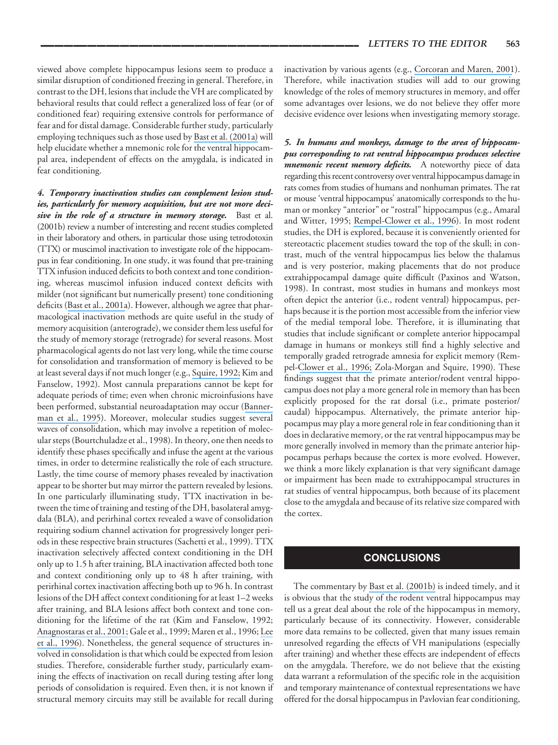viewed above complete hippocampus lesions seem to produce a similar disruption of conditioned freezing in general. Therefore, in contrast to the DH, lesions that include the VH are complicated by behavioral results that could reflect a generalized loss of fear (or of conditioned fear) requiring extensive controls for performance of fear and for distal damage. Considerable further study, particularly employing techniques such as those used by [Bast et al. \(2001a\)](https://www.researchgate.net/publication/11859939_The_ventral_hippocampus_and_fear_conditioning_in_rats_Different_anterograde_amnesias_of_fear_after_tetrodotoxin_inactivation_and_infusion_of_the_GABAA_agonist_muscimol?el=1_x_8&enrichId=rgreq-ecf01c2f8ce868253bb04695d261f469-XXX&enrichSource=Y292ZXJQYWdlOzExMTg2MjIxO0FTOjEwMTk5MzI3NjI0ODA2NEAxNDAxMzI4NTAwMTUy) will help elucidate whether a mnemonic role for the ventral hippocampal area, independent of effects on the amygdala, is indicated in fear conditioning.

*4. Temporary inactivation studies can complement lesion studies, particularly for memory acquisition, but are not more decisive in the role of a structure in memory storage.* Bast et al. (2001b) review a number of interesting and recent studies completed in their laboratory and others, in particular those using tetrodotoxin (TTX) or muscimol inactivation to investigate role of the hippocampus in fear conditioning. In one study, it was found that pre-training TTX infusion induced deficits to both context and tone conditioning, whereas muscimol infusion induced context deficits with milder (not significant but numerically present) tone conditioning deficits ([Bast et al., 2001a](https://www.researchgate.net/publication/11859939_The_ventral_hippocampus_and_fear_conditioning_in_rats_Different_anterograde_amnesias_of_fear_after_tetrodotoxin_inactivation_and_infusion_of_the_GABAA_agonist_muscimol?el=1_x_8&enrichId=rgreq-ecf01c2f8ce868253bb04695d261f469-XXX&enrichSource=Y292ZXJQYWdlOzExMTg2MjIxO0FTOjEwMTk5MzI3NjI0ODA2NEAxNDAxMzI4NTAwMTUy)). However, although we agree that pharmacological inactivation methods are quite useful in the study of memory acquisition (anterograde), we consider them less useful for the study of memory storage (retrograde) for several reasons. Most pharmacological agents do not last very long, while the time course for consolidation and transformation of memory is believed to be at least several days if not much longer (e.g., [Squire, 1992;](https://www.researchgate.net/publication/247410767_Memory_and_the_hippocampus_A_synthesis_from_findings_with_rats_monkeys_and_humans?el=1_x_8&enrichId=rgreq-ecf01c2f8ce868253bb04695d261f469-XXX&enrichSource=Y292ZXJQYWdlOzExMTg2MjIxO0FTOjEwMTk5MzI3NjI0ODA2NEAxNDAxMzI4NTAwMTUy) Kim and Fanselow, 1992). Most cannula preparations cannot be kept for adequate periods of time; even when chronic microinfusions have been performed, substantial neuroadaptation may occur ([Banner](https://www.researchgate.net/publication/15722421_Distinct_components_of_spatial_learning_revealed_by_prior_training_and_NMDA_receptor_blockade?el=1_x_8&enrichId=rgreq-ecf01c2f8ce868253bb04695d261f469-XXX&enrichSource=Y292ZXJQYWdlOzExMTg2MjIxO0FTOjEwMTk5MzI3NjI0ODA2NEAxNDAxMzI4NTAwMTUy)[man et al., 1995](https://www.researchgate.net/publication/15722421_Distinct_components_of_spatial_learning_revealed_by_prior_training_and_NMDA_receptor_blockade?el=1_x_8&enrichId=rgreq-ecf01c2f8ce868253bb04695d261f469-XXX&enrichSource=Y292ZXJQYWdlOzExMTg2MjIxO0FTOjEwMTk5MzI3NjI0ODA2NEAxNDAxMzI4NTAwMTUy)). Moreover, molecular studies suggest several waves of consolidation, which may involve a repetition of molecular steps (Bourtchuladze et al., 1998). In theory, one then needs to identify these phases specifically and infuse the agent at the various times, in order to determine realistically the role of each structure. Lastly, the time course of memory phases revealed by inactivation appear to be shorter but may mirror the pattern revealed by lesions. In one particularly illuminating study, TTX inactivation in between the time of training and testing of the DH, basolateral amygdala (BLA), and perirhinal cortex revealed a wave of consolidation requiring sodium channel activation for progressively longer periods in these respective brain structures (Sachetti et al., 1999). TTX inactivation selectively affected context conditioning in the DH only up to 1.5 h after training, BLA inactivation affected both tone and context conditioning only up to 48 h after training, with perirhinal cortex inactivation affecting both up to 96 h. In contrast lesions of the DH affect context conditioning for at least 1–2 weeks after training, and BLA lesions affect both context and tone conditioning for the lifetime of the rat (Kim and Fanselow, 1992; [Anagnostaras et al., 2001;](https://www.researchgate.net/publication/289326100_Hippocampus_and_contextual_fear_conditioning_Recent_controversies_and_advances?el=1_x_8&enrichId=rgreq-ecf01c2f8ce868253bb04695d261f469-XXX&enrichSource=Y292ZXJQYWdlOzExMTg2MjIxO0FTOjEwMTk5MzI3NjI0ODA2NEAxNDAxMzI4NTAwMTUy) Gale et al., 1999; Maren et al., 1996; [Lee](https://www.researchgate.net/publication/14343053_Lack_of_temporal_gradient_of_retrograde_amnesia_following_NMDA-induced_lesions_of_the_basolateral_amygdala_assessed_with_the_fear-potentiated_startle_paradigm?el=1_x_8&enrichId=rgreq-ecf01c2f8ce868253bb04695d261f469-XXX&enrichSource=Y292ZXJQYWdlOzExMTg2MjIxO0FTOjEwMTk5MzI3NjI0ODA2NEAxNDAxMzI4NTAwMTUy) [et al., 1996](https://www.researchgate.net/publication/14343053_Lack_of_temporal_gradient_of_retrograde_amnesia_following_NMDA-induced_lesions_of_the_basolateral_amygdala_assessed_with_the_fear-potentiated_startle_paradigm?el=1_x_8&enrichId=rgreq-ecf01c2f8ce868253bb04695d261f469-XXX&enrichSource=Y292ZXJQYWdlOzExMTg2MjIxO0FTOjEwMTk5MzI3NjI0ODA2NEAxNDAxMzI4NTAwMTUy)). Nonetheless, the general sequence of structures involved in consolidation is that which could be expected from lesion studies. Therefore, considerable further study, particularly examining the effects of inactivation on recall during testing after long periods of consolidation is required. Even then, it is not known if structural memory circuits may still be available for recall during inactivation by various agents (e.g., [Corcoran and Maren, 2001](https://www.researchgate.net/publication/12108080_Hippocampal_inactivation_disrupts_contextual_retrieval_of_fear_memory_after_extinction?el=1_x_8&enrichId=rgreq-ecf01c2f8ce868253bb04695d261f469-XXX&enrichSource=Y292ZXJQYWdlOzExMTg2MjIxO0FTOjEwMTk5MzI3NjI0ODA2NEAxNDAxMzI4NTAwMTUy)). Therefore, while inactivation studies will add to our growing knowledge of the roles of memory structures in memory, and offer some advantages over lesions, we do not believe they offer more decisive evidence over lesions when investigating memory storage.

*5. In humans and monkeys, damage to the area of hippocampus corresponding to rat ventral hippocampus produces selective mnemonic recent memory deficits.* A noteworthy piece of data regarding this recent controversy over ventral hippocampus damage in rats comes from studies of humans and nonhuman primates. The rat or mouse 'ventral hippocampus' anatomically corresponds to the human or monkey "anterior" or "rostral" hippocampus (e.g., Amaral and Witter, 1995; [Rempel-Clower et al., 1996](https://www.researchgate.net/publication/14447112_Three_cases_of_enduring_memory_impairment_after_bilateral_damage_limited_to_the_hippocampal_formation?el=1_x_8&enrichId=rgreq-ecf01c2f8ce868253bb04695d261f469-XXX&enrichSource=Y292ZXJQYWdlOzExMTg2MjIxO0FTOjEwMTk5MzI3NjI0ODA2NEAxNDAxMzI4NTAwMTUy)). In most rodent studies, the DH is explored, because it is conveniently oriented for stereotactic placement studies toward the top of the skull; in contrast, much of the ventral hippocampus lies below the thalamus and is very posterior, making placements that do not produce extrahippocampal damage quite difficult (Paxinos and Watson, 1998). In contrast, most studies in humans and monkeys most often depict the anterior (i.e., rodent ventral) hippocampus, perhaps because it is the portion most accessible from the inferior view of the medial temporal lobe. Therefore, it is illuminating that studies that include significant or complete anterior hippocampal damage in humans or monkeys still find a highly selective and temporally graded retrograde amnesia for explicit memory (Rempel-[Clower et al., 1996;](https://www.researchgate.net/publication/14447112_Three_cases_of_enduring_memory_impairment_after_bilateral_damage_limited_to_the_hippocampal_formation?el=1_x_8&enrichId=rgreq-ecf01c2f8ce868253bb04695d261f469-XXX&enrichSource=Y292ZXJQYWdlOzExMTg2MjIxO0FTOjEwMTk5MzI3NjI0ODA2NEAxNDAxMzI4NTAwMTUy) Zola-Morgan and Squire, 1990). These findings suggest that the primate anterior/rodent ventral hippocampus does not play a more general role in memory than has been explicitly proposed for the rat dorsal (i.e., primate posterior/ caudal) hippocampus. Alternatively, the primate anterior hippocampus may play a more general role in fear conditioning than it does in declarative memory, or the rat ventral hippocampus may be more generally involved in memory than the primate anterior hippocampus perhaps because the cortex is more evolved. However, we think a more likely explanation is that very significant damage or impairment has been made to extrahippocampal structures in rat studies of ventral hippocampus, both because of its placement close to the amygdala and because of its relative size compared with the cortex.

## **CONCLUSIONS**

The commentary by [Bast et al. \(2001b\)](https://www.researchgate.net/publication/229694875_Hippocampus_and_classical_fear_conditioning?el=1_x_8&enrichId=rgreq-ecf01c2f8ce868253bb04695d261f469-XXX&enrichSource=Y292ZXJQYWdlOzExMTg2MjIxO0FTOjEwMTk5MzI3NjI0ODA2NEAxNDAxMzI4NTAwMTUy) is indeed timely, and it is obvious that the study of the rodent ventral hippocampus may tell us a great deal about the role of the hippocampus in memory, particularly because of its connectivity. However, considerable more data remains to be collected, given that many issues remain unresolved regarding the effects of VH manipulations (especially after training) and whether these effects are independent of effects on the amygdala. Therefore, we do not believe that the existing data warrant a reformulation of the specific role in the acquisition and temporary maintenance of contextual representations we have offered for the dorsal hippocampus in Pavlovian fear conditioning,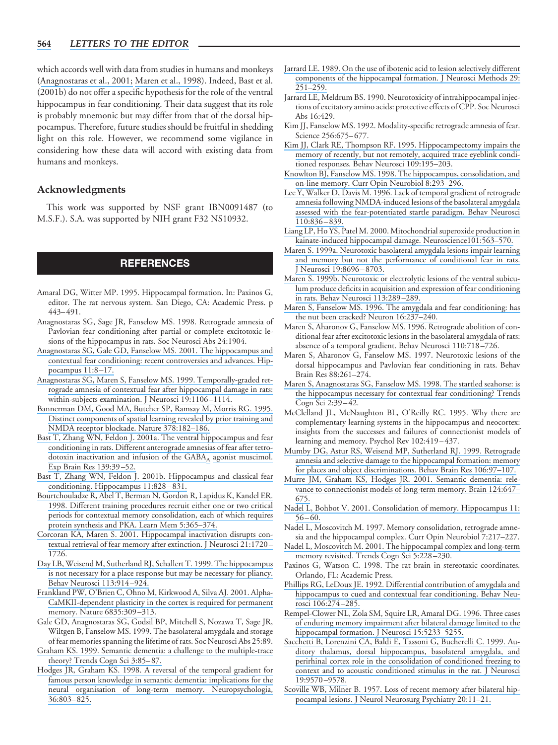which accords well with data from studies in humans and monkeys ([Anagnostaras et al., 2001;](https://www.researchgate.net/publication/289326100_Hippocampus_and_contextual_fear_conditioning_Recent_controversies_and_advances?el=1_x_8&enrichId=rgreq-ecf01c2f8ce868253bb04695d261f469-XXX&enrichSource=Y292ZXJQYWdlOzExMTg2MjIxO0FTOjEwMTk5MzI3NjI0ODA2NEAxNDAxMzI4NTAwMTUy) [Maren et al., 1998](https://www.researchgate.net/publication/49747765_The_startled_seahorse_Is_the_hippocampus_necessary_for_contextual_fear_conditioning?el=1_x_8&enrichId=rgreq-ecf01c2f8ce868253bb04695d261f469-XXX&enrichSource=Y292ZXJQYWdlOzExMTg2MjIxO0FTOjEwMTk5MzI3NjI0ODA2NEAxNDAxMzI4NTAwMTUy)). Indeed, Bast et al. (2001b) do not offer a specific hypothesis for the role of the ventral hippocampus in fear conditioning. Their data suggest that its role is probably mnemonic but may differ from that of the dorsal hippocampus. Therefore, future studies should be fruitful in shedding light on this role. However, we recommend some vigilance in considering how these data will accord with existing data from humans and monkeys.

#### **Acknowledgments**

This work was supported by NSF grant IBN0091487 (to M.S.F.). S.A. was supported by NIH grant F32 NS10932.

### **REFERENCES**

- Amaral DG, Witter MP. 1995. Hippocampal formation. In: Paxinos G, editor. The rat nervous system. San Diego, CA: Academic Press. p 443–491.
- Anagnostaras SG, Sage JR, Fanselow MS. 1998. Retrograde amnesia of Pavlovian fear conditioning after partial or complete excitotoxic lesions of the hippocampus in rats. Soc Neurosci Abs 24:1904.
- [Anagnostaras SG, Gale GD, Fanselow MS. 2001. The hippocampus and](https://www.researchgate.net/publication/289326100_Hippocampus_and_contextual_fear_conditioning_Recent_controversies_and_advances?el=1_x_8&enrichId=rgreq-ecf01c2f8ce868253bb04695d261f469-XXX&enrichSource=Y292ZXJQYWdlOzExMTg2MjIxO0FTOjEwMTk5MzI3NjI0ODA2NEAxNDAxMzI4NTAwMTUy) [contextual fear conditioning: recent controversies and advances. Hip](https://www.researchgate.net/publication/289326100_Hippocampus_and_contextual_fear_conditioning_Recent_controversies_and_advances?el=1_x_8&enrichId=rgreq-ecf01c2f8ce868253bb04695d261f469-XXX&enrichSource=Y292ZXJQYWdlOzExMTg2MjIxO0FTOjEwMTk5MzI3NjI0ODA2NEAxNDAxMzI4NTAwMTUy)[pocampus 11:8–17.](https://www.researchgate.net/publication/289326100_Hippocampus_and_contextual_fear_conditioning_Recent_controversies_and_advances?el=1_x_8&enrichId=rgreq-ecf01c2f8ce868253bb04695d261f469-XXX&enrichSource=Y292ZXJQYWdlOzExMTg2MjIxO0FTOjEwMTk5MzI3NjI0ODA2NEAxNDAxMzI4NTAwMTUy)
- [Anagnostaras SG, Maren S, Fanselow MS. 1999. Temporally-graded ret](https://www.researchgate.net/publication/13367864_Temporally_Graded_Retrograde_Amnesia_of_Contextual_Fear_after_Hippocampal_Damage_in_Rats_Within-Subjects_Examination?el=1_x_8&enrichId=rgreq-ecf01c2f8ce868253bb04695d261f469-XXX&enrichSource=Y292ZXJQYWdlOzExMTg2MjIxO0FTOjEwMTk5MzI3NjI0ODA2NEAxNDAxMzI4NTAwMTUy)[rograde amnesia of contextual fear after hippocampal damage in rats:](https://www.researchgate.net/publication/13367864_Temporally_Graded_Retrograde_Amnesia_of_Contextual_Fear_after_Hippocampal_Damage_in_Rats_Within-Subjects_Examination?el=1_x_8&enrichId=rgreq-ecf01c2f8ce868253bb04695d261f469-XXX&enrichSource=Y292ZXJQYWdlOzExMTg2MjIxO0FTOjEwMTk5MzI3NjI0ODA2NEAxNDAxMzI4NTAwMTUy) [within-subjects examination. J Neurosci 19:1106–1114.](https://www.researchgate.net/publication/13367864_Temporally_Graded_Retrograde_Amnesia_of_Contextual_Fear_after_Hippocampal_Damage_in_Rats_Within-Subjects_Examination?el=1_x_8&enrichId=rgreq-ecf01c2f8ce868253bb04695d261f469-XXX&enrichSource=Y292ZXJQYWdlOzExMTg2MjIxO0FTOjEwMTk5MzI3NjI0ODA2NEAxNDAxMzI4NTAwMTUy)
- [Bannerman DM, Good MA, Butcher SP, Ramsay M, Morris RG. 1995.](https://www.researchgate.net/publication/15722421_Distinct_components_of_spatial_learning_revealed_by_prior_training_and_NMDA_receptor_blockade?el=1_x_8&enrichId=rgreq-ecf01c2f8ce868253bb04695d261f469-XXX&enrichSource=Y292ZXJQYWdlOzExMTg2MjIxO0FTOjEwMTk5MzI3NjI0ODA2NEAxNDAxMzI4NTAwMTUy) [Distinct components of spatial learning revealed by prior training and](https://www.researchgate.net/publication/15722421_Distinct_components_of_spatial_learning_revealed_by_prior_training_and_NMDA_receptor_blockade?el=1_x_8&enrichId=rgreq-ecf01c2f8ce868253bb04695d261f469-XXX&enrichSource=Y292ZXJQYWdlOzExMTg2MjIxO0FTOjEwMTk5MzI3NjI0ODA2NEAxNDAxMzI4NTAwMTUy) [NMDA receptor blockade. Nature 378:182–186.](https://www.researchgate.net/publication/15722421_Distinct_components_of_spatial_learning_revealed_by_prior_training_and_NMDA_receptor_blockade?el=1_x_8&enrichId=rgreq-ecf01c2f8ce868253bb04695d261f469-XXX&enrichSource=Y292ZXJQYWdlOzExMTg2MjIxO0FTOjEwMTk5MzI3NjI0ODA2NEAxNDAxMzI4NTAwMTUy)
- [Bast T, Zhang WN, Feldon J. 2001a. The ventral hippocampus and fear](https://www.researchgate.net/publication/11859939_The_ventral_hippocampus_and_fear_conditioning_in_rats_Different_anterograde_amnesias_of_fear_after_tetrodotoxin_inactivation_and_infusion_of_the_GABAA_agonist_muscimol?el=1_x_8&enrichId=rgreq-ecf01c2f8ce868253bb04695d261f469-XXX&enrichSource=Y292ZXJQYWdlOzExMTg2MjIxO0FTOjEwMTk5MzI3NjI0ODA2NEAxNDAxMzI4NTAwMTUy) [conditioning in rats. Different anterograde amnesias of fear after tetro](https://www.researchgate.net/publication/11859939_The_ventral_hippocampus_and_fear_conditioning_in_rats_Different_anterograde_amnesias_of_fear_after_tetrodotoxin_inactivation_and_infusion_of_the_GABAA_agonist_muscimol?el=1_x_8&enrichId=rgreq-ecf01c2f8ce868253bb04695d261f469-XXX&enrichSource=Y292ZXJQYWdlOzExMTg2MjIxO0FTOjEwMTk5MzI3NjI0ODA2NEAxNDAxMzI4NTAwMTUy)dotoxin inactivation and infusion of the  $GABA_A$  [agonist muscimol.](https://www.researchgate.net/publication/11859939_The_ventral_hippocampus_and_fear_conditioning_in_rats_Different_anterograde_amnesias_of_fear_after_tetrodotoxin_inactivation_and_infusion_of_the_GABAA_agonist_muscimol?el=1_x_8&enrichId=rgreq-ecf01c2f8ce868253bb04695d261f469-XXX&enrichSource=Y292ZXJQYWdlOzExMTg2MjIxO0FTOjEwMTk5MzI3NjI0ODA2NEAxNDAxMzI4NTAwMTUy) [Exp Brain Res 139:39–52.](https://www.researchgate.net/publication/11859939_The_ventral_hippocampus_and_fear_conditioning_in_rats_Different_anterograde_amnesias_of_fear_after_tetrodotoxin_inactivation_and_infusion_of_the_GABAA_agonist_muscimol?el=1_x_8&enrichId=rgreq-ecf01c2f8ce868253bb04695d261f469-XXX&enrichSource=Y292ZXJQYWdlOzExMTg2MjIxO0FTOjEwMTk5MzI3NjI0ODA2NEAxNDAxMzI4NTAwMTUy)
- [Bast T, Zhang WN, Feldon J. 2001b. Hippocampus and classical fear](https://www.researchgate.net/publication/229694875_Hippocampus_and_classical_fear_conditioning?el=1_x_8&enrichId=rgreq-ecf01c2f8ce868253bb04695d261f469-XXX&enrichSource=Y292ZXJQYWdlOzExMTg2MjIxO0FTOjEwMTk5MzI3NjI0ODA2NEAxNDAxMzI4NTAwMTUy) [conditioning. Hippocampus 11:828–831.](https://www.researchgate.net/publication/229694875_Hippocampus_and_classical_fear_conditioning?el=1_x_8&enrichId=rgreq-ecf01c2f8ce868253bb04695d261f469-XXX&enrichSource=Y292ZXJQYWdlOzExMTg2MjIxO0FTOjEwMTk5MzI3NjI0ODA2NEAxNDAxMzI4NTAwMTUy)
- [Bourtchouladze R, Abel T, Berman N, Gordon R, Lapidus K, Kandel ER.](https://www.researchgate.net/publication/12846226_Different_Training_Procedures_Recruit_Either_One_or_Two_Critical_Periods_for_Contextual_Memory_Consolidation_Each_of_Which_Requires_Protein_Synthesis_and_PKA?el=1_x_8&enrichId=rgreq-ecf01c2f8ce868253bb04695d261f469-XXX&enrichSource=Y292ZXJQYWdlOzExMTg2MjIxO0FTOjEwMTk5MzI3NjI0ODA2NEAxNDAxMzI4NTAwMTUy) [1998. Different training procedures recruit either one or two critical](https://www.researchgate.net/publication/12846226_Different_Training_Procedures_Recruit_Either_One_or_Two_Critical_Periods_for_Contextual_Memory_Consolidation_Each_of_Which_Requires_Protein_Synthesis_and_PKA?el=1_x_8&enrichId=rgreq-ecf01c2f8ce868253bb04695d261f469-XXX&enrichSource=Y292ZXJQYWdlOzExMTg2MjIxO0FTOjEwMTk5MzI3NjI0ODA2NEAxNDAxMzI4NTAwMTUy) [periods for contextual memory consolidation, each of which requires](https://www.researchgate.net/publication/12846226_Different_Training_Procedures_Recruit_Either_One_or_Two_Critical_Periods_for_Contextual_Memory_Consolidation_Each_of_Which_Requires_Protein_Synthesis_and_PKA?el=1_x_8&enrichId=rgreq-ecf01c2f8ce868253bb04695d261f469-XXX&enrichSource=Y292ZXJQYWdlOzExMTg2MjIxO0FTOjEwMTk5MzI3NjI0ODA2NEAxNDAxMzI4NTAwMTUy) [protein synthesis and PKA. Learn Mem 5:365–374.](https://www.researchgate.net/publication/12846226_Different_Training_Procedures_Recruit_Either_One_or_Two_Critical_Periods_for_Contextual_Memory_Consolidation_Each_of_Which_Requires_Protein_Synthesis_and_PKA?el=1_x_8&enrichId=rgreq-ecf01c2f8ce868253bb04695d261f469-XXX&enrichSource=Y292ZXJQYWdlOzExMTg2MjIxO0FTOjEwMTk5MzI3NjI0ODA2NEAxNDAxMzI4NTAwMTUy)
- [Corcoran KA, Maren S. 2001. Hippocampal inactivation disrupts con](https://www.researchgate.net/publication/12108080_Hippocampal_inactivation_disrupts_contextual_retrieval_of_fear_memory_after_extinction?el=1_x_8&enrichId=rgreq-ecf01c2f8ce868253bb04695d261f469-XXX&enrichSource=Y292ZXJQYWdlOzExMTg2MjIxO0FTOjEwMTk5MzI3NjI0ODA2NEAxNDAxMzI4NTAwMTUy)[textual retrieval of fear memory after extinction. J Neurosci 21:1720–](https://www.researchgate.net/publication/12108080_Hippocampal_inactivation_disrupts_contextual_retrieval_of_fear_memory_after_extinction?el=1_x_8&enrichId=rgreq-ecf01c2f8ce868253bb04695d261f469-XXX&enrichSource=Y292ZXJQYWdlOzExMTg2MjIxO0FTOjEwMTk5MzI3NjI0ODA2NEAxNDAxMzI4NTAwMTUy) [1726.](https://www.researchgate.net/publication/12108080_Hippocampal_inactivation_disrupts_contextual_retrieval_of_fear_memory_after_extinction?el=1_x_8&enrichId=rgreq-ecf01c2f8ce868253bb04695d261f469-XXX&enrichSource=Y292ZXJQYWdlOzExMTg2MjIxO0FTOjEwMTk5MzI3NjI0ODA2NEAxNDAxMzI4NTAwMTUy)
- [Day LB, Weisend M, Sutherland RJ, Schallert T. 1999. The hippocampus](https://www.researchgate.net/publication/12728717_The_hippocampus_is_not_necessary_for_a_place_response_but_may_be_necessary_for_pliancy?el=1_x_8&enrichId=rgreq-ecf01c2f8ce868253bb04695d261f469-XXX&enrichSource=Y292ZXJQYWdlOzExMTg2MjIxO0FTOjEwMTk5MzI3NjI0ODA2NEAxNDAxMzI4NTAwMTUy) [is not necessary for a place response but may be necessary for pliancy.](https://www.researchgate.net/publication/12728717_The_hippocampus_is_not_necessary_for_a_place_response_but_may_be_necessary_for_pliancy?el=1_x_8&enrichId=rgreq-ecf01c2f8ce868253bb04695d261f469-XXX&enrichSource=Y292ZXJQYWdlOzExMTg2MjIxO0FTOjEwMTk5MzI3NjI0ODA2NEAxNDAxMzI4NTAwMTUy) [Behav Neurosci 113:914–924.](https://www.researchgate.net/publication/12728717_The_hippocampus_is_not_necessary_for_a_place_response_but_may_be_necessary_for_pliancy?el=1_x_8&enrichId=rgreq-ecf01c2f8ce868253bb04695d261f469-XXX&enrichSource=Y292ZXJQYWdlOzExMTg2MjIxO0FTOjEwMTk5MzI3NjI0ODA2NEAxNDAxMzI4NTAwMTUy)
- [Frankland PW, O'Brien C, Ohno M, Kirkwood A, Silva AJ. 2001. Alpha-](https://www.researchgate.net/publication/11981116_Alpha-CAMKII-dependent_plasticity_in_the_cortex_is_required_for_permanent_memory?el=1_x_8&enrichId=rgreq-ecf01c2f8ce868253bb04695d261f469-XXX&enrichSource=Y292ZXJQYWdlOzExMTg2MjIxO0FTOjEwMTk5MzI3NjI0ODA2NEAxNDAxMzI4NTAwMTUy)[CaMKII-dependent plasticity in the cortex is required for permanent](https://www.researchgate.net/publication/11981116_Alpha-CAMKII-dependent_plasticity_in_the_cortex_is_required_for_permanent_memory?el=1_x_8&enrichId=rgreq-ecf01c2f8ce868253bb04695d261f469-XXX&enrichSource=Y292ZXJQYWdlOzExMTg2MjIxO0FTOjEwMTk5MzI3NjI0ODA2NEAxNDAxMzI4NTAwMTUy) [memory. Nature 6835:309–313.](https://www.researchgate.net/publication/11981116_Alpha-CAMKII-dependent_plasticity_in_the_cortex_is_required_for_permanent_memory?el=1_x_8&enrichId=rgreq-ecf01c2f8ce868253bb04695d261f469-XXX&enrichSource=Y292ZXJQYWdlOzExMTg2MjIxO0FTOjEwMTk5MzI3NjI0ODA2NEAxNDAxMzI4NTAwMTUy)
- Gale GD, Anagnostaras SG, Godsil BP, Mitchell S, Nozawa T, Sage JR, Wiltgen B, Fanselow MS. 1999. The basolateral amygdala and storage of fear memories spanning the lifetime of rats. Soc Neurosci Abs 25:89.
- [Graham KS. 1999. Semantic dementia: a challenge to the multiple-trace](https://www.researchgate.net/publication/12977127_Semantic_dementia_a_challenge_to_the_multiple-trace_theory?el=1_x_8&enrichId=rgreq-ecf01c2f8ce868253bb04695d261f469-XXX&enrichSource=Y292ZXJQYWdlOzExMTg2MjIxO0FTOjEwMTk5MzI3NjI0ODA2NEAxNDAxMzI4NTAwMTUy) [theory? Trends Cogn Sci 3:85–87.](https://www.researchgate.net/publication/12977127_Semantic_dementia_a_challenge_to_the_multiple-trace_theory?el=1_x_8&enrichId=rgreq-ecf01c2f8ce868253bb04695d261f469-XXX&enrichSource=Y292ZXJQYWdlOzExMTg2MjIxO0FTOjEwMTk5MzI3NjI0ODA2NEAxNDAxMzI4NTAwMTUy)
- [Hodges JR, Graham KS. 1998. A reversal of the temporal gradient for](https://www.researchgate.net/publication/13535372_A_reversal_of_the_temporal_gradient_for_famous_person_knowledge_in_semantic_dementia_Implications_for_the_neural_organisation_of_long_term_memory?el=1_x_8&enrichId=rgreq-ecf01c2f8ce868253bb04695d261f469-XXX&enrichSource=Y292ZXJQYWdlOzExMTg2MjIxO0FTOjEwMTk5MzI3NjI0ODA2NEAxNDAxMzI4NTAwMTUy) [famous person knowledge in semantic dementia: implications for the](https://www.researchgate.net/publication/13535372_A_reversal_of_the_temporal_gradient_for_famous_person_knowledge_in_semantic_dementia_Implications_for_the_neural_organisation_of_long_term_memory?el=1_x_8&enrichId=rgreq-ecf01c2f8ce868253bb04695d261f469-XXX&enrichSource=Y292ZXJQYWdlOzExMTg2MjIxO0FTOjEwMTk5MzI3NjI0ODA2NEAxNDAxMzI4NTAwMTUy) [neural organisation of long-term memory. Neuropsychologia,](https://www.researchgate.net/publication/13535372_A_reversal_of_the_temporal_gradient_for_famous_person_knowledge_in_semantic_dementia_Implications_for_the_neural_organisation_of_long_term_memory?el=1_x_8&enrichId=rgreq-ecf01c2f8ce868253bb04695d261f469-XXX&enrichSource=Y292ZXJQYWdlOzExMTg2MjIxO0FTOjEwMTk5MzI3NjI0ODA2NEAxNDAxMzI4NTAwMTUy) [36:803–825.](https://www.researchgate.net/publication/13535372_A_reversal_of_the_temporal_gradient_for_famous_person_knowledge_in_semantic_dementia_Implications_for_the_neural_organisation_of_long_term_memory?el=1_x_8&enrichId=rgreq-ecf01c2f8ce868253bb04695d261f469-XXX&enrichSource=Y292ZXJQYWdlOzExMTg2MjIxO0FTOjEwMTk5MzI3NjI0ODA2NEAxNDAxMzI4NTAwMTUy)
- [Jarrard LE. 1989. On the use of ibotenic acid to lesion selectively different](https://www.researchgate.net/publication/20677788_On_the_use_of_ibotenic_acid_to_lesion_selectively_different_components_of_the_hippocampal_formation?el=1_x_8&enrichId=rgreq-ecf01c2f8ce868253bb04695d261f469-XXX&enrichSource=Y292ZXJQYWdlOzExMTg2MjIxO0FTOjEwMTk5MzI3NjI0ODA2NEAxNDAxMzI4NTAwMTUy) [components of the hippocampal formation. J Neurosci Methods 29:](https://www.researchgate.net/publication/20677788_On_the_use_of_ibotenic_acid_to_lesion_selectively_different_components_of_the_hippocampal_formation?el=1_x_8&enrichId=rgreq-ecf01c2f8ce868253bb04695d261f469-XXX&enrichSource=Y292ZXJQYWdlOzExMTg2MjIxO0FTOjEwMTk5MzI3NjI0ODA2NEAxNDAxMzI4NTAwMTUy) [251–259.](https://www.researchgate.net/publication/20677788_On_the_use_of_ibotenic_acid_to_lesion_selectively_different_components_of_the_hippocampal_formation?el=1_x_8&enrichId=rgreq-ecf01c2f8ce868253bb04695d261f469-XXX&enrichSource=Y292ZXJQYWdlOzExMTg2MjIxO0FTOjEwMTk5MzI3NjI0ODA2NEAxNDAxMzI4NTAwMTUy)
- Jarrard LE, Meldrum BS. 1990. Neurotoxicity of intrahippocampal injections of excitatory amino acids: protective effects of CPP. Soc Neurosci Abs 16:429.
- Kim JJ, Fanselow MS. 1992. Modality-specific retrograde amnesia of fear. Science 256:675–677.
- [Kim JJ, Clark RE, Thompson RF. 1995. Hippocampectomy impairs the](https://www.researchgate.net/publication/15580456_Hippocampectomy_Impairs_the_Memory_of_Recently_but_Not_Remotely_Acquired_Trace_Eyeblink_Conditioned_Responses?el=1_x_8&enrichId=rgreq-ecf01c2f8ce868253bb04695d261f469-XXX&enrichSource=Y292ZXJQYWdlOzExMTg2MjIxO0FTOjEwMTk5MzI3NjI0ODA2NEAxNDAxMzI4NTAwMTUy) [memory of recently, but not remotely, acquired trace eyeblink condi](https://www.researchgate.net/publication/15580456_Hippocampectomy_Impairs_the_Memory_of_Recently_but_Not_Remotely_Acquired_Trace_Eyeblink_Conditioned_Responses?el=1_x_8&enrichId=rgreq-ecf01c2f8ce868253bb04695d261f469-XXX&enrichSource=Y292ZXJQYWdlOzExMTg2MjIxO0FTOjEwMTk5MzI3NjI0ODA2NEAxNDAxMzI4NTAwMTUy)[tioned responses. Behav Neurosci 109:195–203.](https://www.researchgate.net/publication/15580456_Hippocampectomy_Impairs_the_Memory_of_Recently_but_Not_Remotely_Acquired_Trace_Eyeblink_Conditioned_Responses?el=1_x_8&enrichId=rgreq-ecf01c2f8ce868253bb04695d261f469-XXX&enrichSource=Y292ZXJQYWdlOzExMTg2MjIxO0FTOjEwMTk5MzI3NjI0ODA2NEAxNDAxMzI4NTAwMTUy)
- [Knowlton BJ, Fanselow MS. 1998. The hippocampus, consolidation, and](https://www.researchgate.net/publication/13649813_The_hippocampus_consolidation_and_on-line_memory?el=1_x_8&enrichId=rgreq-ecf01c2f8ce868253bb04695d261f469-XXX&enrichSource=Y292ZXJQYWdlOzExMTg2MjIxO0FTOjEwMTk5MzI3NjI0ODA2NEAxNDAxMzI4NTAwMTUy) [on-line memory. Curr Opin Neurobiol 8:293–296.](https://www.researchgate.net/publication/13649813_The_hippocampus_consolidation_and_on-line_memory?el=1_x_8&enrichId=rgreq-ecf01c2f8ce868253bb04695d261f469-XXX&enrichSource=Y292ZXJQYWdlOzExMTg2MjIxO0FTOjEwMTk5MzI3NjI0ODA2NEAxNDAxMzI4NTAwMTUy)
- [Lee Y, Walker D, Davis M. 1996. Lack of temporal gradient of retrograde](https://www.researchgate.net/publication/14343053_Lack_of_temporal_gradient_of_retrograde_amnesia_following_NMDA-induced_lesions_of_the_basolateral_amygdala_assessed_with_the_fear-potentiated_startle_paradigm?el=1_x_8&enrichId=rgreq-ecf01c2f8ce868253bb04695d261f469-XXX&enrichSource=Y292ZXJQYWdlOzExMTg2MjIxO0FTOjEwMTk5MzI3NjI0ODA2NEAxNDAxMzI4NTAwMTUy) [amnesia following NMDA-induced lesions of the basolateral amygdala](https://www.researchgate.net/publication/14343053_Lack_of_temporal_gradient_of_retrograde_amnesia_following_NMDA-induced_lesions_of_the_basolateral_amygdala_assessed_with_the_fear-potentiated_startle_paradigm?el=1_x_8&enrichId=rgreq-ecf01c2f8ce868253bb04695d261f469-XXX&enrichSource=Y292ZXJQYWdlOzExMTg2MjIxO0FTOjEwMTk5MzI3NjI0ODA2NEAxNDAxMzI4NTAwMTUy) [assessed with the fear-potentiated startle paradigm. Behav Neurosci](https://www.researchgate.net/publication/14343053_Lack_of_temporal_gradient_of_retrograde_amnesia_following_NMDA-induced_lesions_of_the_basolateral_amygdala_assessed_with_the_fear-potentiated_startle_paradigm?el=1_x_8&enrichId=rgreq-ecf01c2f8ce868253bb04695d261f469-XXX&enrichSource=Y292ZXJQYWdlOzExMTg2MjIxO0FTOjEwMTk5MzI3NjI0ODA2NEAxNDAxMzI4NTAwMTUy) [110:836–839.](https://www.researchgate.net/publication/14343053_Lack_of_temporal_gradient_of_retrograde_amnesia_following_NMDA-induced_lesions_of_the_basolateral_amygdala_assessed_with_the_fear-potentiated_startle_paradigm?el=1_x_8&enrichId=rgreq-ecf01c2f8ce868253bb04695d261f469-XXX&enrichSource=Y292ZXJQYWdlOzExMTg2MjIxO0FTOjEwMTk5MzI3NjI0ODA2NEAxNDAxMzI4NTAwMTUy)
- [Liang LP, Ho YS, Patel M. 2000. Mitochondrial superoxide production in](https://www.researchgate.net/publication/12215458_Mitochondrial_superoxide_production_in_kainate-induced_hippocampal_damage?el=1_x_8&enrichId=rgreq-ecf01c2f8ce868253bb04695d261f469-XXX&enrichSource=Y292ZXJQYWdlOzExMTg2MjIxO0FTOjEwMTk5MzI3NjI0ODA2NEAxNDAxMzI4NTAwMTUy) [kainate-induced hippocampal damage. Neuroscience101:563–570.](https://www.researchgate.net/publication/12215458_Mitochondrial_superoxide_production_in_kainate-induced_hippocampal_damage?el=1_x_8&enrichId=rgreq-ecf01c2f8ce868253bb04695d261f469-XXX&enrichSource=Y292ZXJQYWdlOzExMTg2MjIxO0FTOjEwMTk5MzI3NjI0ODA2NEAxNDAxMzI4NTAwMTUy)
- [Maren S. 1999a. Neurotoxic basolateral amygdala lesions impair learning](https://www.researchgate.net/publication/12806007_Neurotoxic_Basolateral_Amygdala_Lesions_Impair_Learning_and_Memory_But_Not_the_Performance_of_Conditional_Fear_in_Rats?el=1_x_8&enrichId=rgreq-ecf01c2f8ce868253bb04695d261f469-XXX&enrichSource=Y292ZXJQYWdlOzExMTg2MjIxO0FTOjEwMTk5MzI3NjI0ODA2NEAxNDAxMzI4NTAwMTUy) [and memory but not the performance of conditional fear in rats.](https://www.researchgate.net/publication/12806007_Neurotoxic_Basolateral_Amygdala_Lesions_Impair_Learning_and_Memory_But_Not_the_Performance_of_Conditional_Fear_in_Rats?el=1_x_8&enrichId=rgreq-ecf01c2f8ce868253bb04695d261f469-XXX&enrichSource=Y292ZXJQYWdlOzExMTg2MjIxO0FTOjEwMTk5MzI3NjI0ODA2NEAxNDAxMzI4NTAwMTUy) [J Neurosci 19:8696–8703.](https://www.researchgate.net/publication/12806007_Neurotoxic_Basolateral_Amygdala_Lesions_Impair_Learning_and_Memory_But_Not_the_Performance_of_Conditional_Fear_in_Rats?el=1_x_8&enrichId=rgreq-ecf01c2f8ce868253bb04695d261f469-XXX&enrichSource=Y292ZXJQYWdlOzExMTg2MjIxO0FTOjEwMTk5MzI3NjI0ODA2NEAxNDAxMzI4NTAwMTUy)
- [Maren S. 1999b. Neurotoxic or electrolytic lesions of the ventral subicu](https://www.researchgate.net/publication/12942387_Neurotoxic_or_Electrolytic_Lesions_of_the_Ventral_Subiculum_Produce_Deficits_in_the_Acquisition_and_Expression_of_Pavlovian_Fear_Conditioning_in_Rats?el=1_x_8&enrichId=rgreq-ecf01c2f8ce868253bb04695d261f469-XXX&enrichSource=Y292ZXJQYWdlOzExMTg2MjIxO0FTOjEwMTk5MzI3NjI0ODA2NEAxNDAxMzI4NTAwMTUy)[lum produce deficits in acquisition and expression of fear conditioning](https://www.researchgate.net/publication/12942387_Neurotoxic_or_Electrolytic_Lesions_of_the_Ventral_Subiculum_Produce_Deficits_in_the_Acquisition_and_Expression_of_Pavlovian_Fear_Conditioning_in_Rats?el=1_x_8&enrichId=rgreq-ecf01c2f8ce868253bb04695d261f469-XXX&enrichSource=Y292ZXJQYWdlOzExMTg2MjIxO0FTOjEwMTk5MzI3NjI0ODA2NEAxNDAxMzI4NTAwMTUy) [in rats. Behav Neurosci 113:289–289.](https://www.researchgate.net/publication/12942387_Neurotoxic_or_Electrolytic_Lesions_of_the_Ventral_Subiculum_Produce_Deficits_in_the_Acquisition_and_Expression_of_Pavlovian_Fear_Conditioning_in_Rats?el=1_x_8&enrichId=rgreq-ecf01c2f8ce868253bb04695d261f469-XXX&enrichSource=Y292ZXJQYWdlOzExMTg2MjIxO0FTOjEwMTk5MzI3NjI0ODA2NEAxNDAxMzI4NTAwMTUy)
- [Maren S, Fanselow MS. 1996. The amygdala and fear conditioning: has](https://www.researchgate.net/publication/14412967_The_Amygdala_and_Fear_Conditioning_Has_the_Nut_Been_Cracked?el=1_x_8&enrichId=rgreq-ecf01c2f8ce868253bb04695d261f469-XXX&enrichSource=Y292ZXJQYWdlOzExMTg2MjIxO0FTOjEwMTk5MzI3NjI0ODA2NEAxNDAxMzI4NTAwMTUy) [the nut been cracked? Neuron 16:237–240.](https://www.researchgate.net/publication/14412967_The_Amygdala_and_Fear_Conditioning_Has_the_Nut_Been_Cracked?el=1_x_8&enrichId=rgreq-ecf01c2f8ce868253bb04695d261f469-XXX&enrichSource=Y292ZXJQYWdlOzExMTg2MjIxO0FTOjEwMTk5MzI3NjI0ODA2NEAxNDAxMzI4NTAwMTUy)
- Maren S, Aharonov G, Fanselow MS. 1996. Retrograde abolition of conditional fear after excitotoxic lesions in the basolateral amygdala of rats: absence of a temporal gradient. Behav Neurosci 110:718–726.
- Maren S, Aharonov G, Fanselow MS. 1997. Neurotoxic lesions of the dorsal hippocampus and Pavlovian fear conditioning in rats. Behav Brain Res 88:261–274.
- [Maren S, Anagnostaras SG, Fanselow MS. 1998. The startled seahorse: is](https://www.researchgate.net/publication/49747765_The_startled_seahorse_Is_the_hippocampus_necessary_for_contextual_fear_conditioning?el=1_x_8&enrichId=rgreq-ecf01c2f8ce868253bb04695d261f469-XXX&enrichSource=Y292ZXJQYWdlOzExMTg2MjIxO0FTOjEwMTk5MzI3NjI0ODA2NEAxNDAxMzI4NTAwMTUy) [the hippocampus necessary for contextual fear conditioning? Trends](https://www.researchgate.net/publication/49747765_The_startled_seahorse_Is_the_hippocampus_necessary_for_contextual_fear_conditioning?el=1_x_8&enrichId=rgreq-ecf01c2f8ce868253bb04695d261f469-XXX&enrichSource=Y292ZXJQYWdlOzExMTg2MjIxO0FTOjEwMTk5MzI3NjI0ODA2NEAxNDAxMzI4NTAwMTUy) [Cogn Sci 2:39–42.](https://www.researchgate.net/publication/49747765_The_startled_seahorse_Is_the_hippocampus_necessary_for_contextual_fear_conditioning?el=1_x_8&enrichId=rgreq-ecf01c2f8ce868253bb04695d261f469-XXX&enrichSource=Y292ZXJQYWdlOzExMTg2MjIxO0FTOjEwMTk5MzI3NjI0ODA2NEAxNDAxMzI4NTAwMTUy)
- McClelland JL, McNaughton BL, O'Reilly RC. 1995. Why there are complementary learning systems in the hippocampus and neocortex: insights from the successes and failures of connectionist models of learning and memory. Psychol Rev 102:419–437.
- [Mumby DG, Astur RS, Weisend MP, Sutherland RJ. 1999. Retrograde](https://www.researchgate.net/publication/12706838_Retrograde_amnesia_and_selective_damage_to_the_hippocampal_formation_Memory_for_places_and_object_discriminations?el=1_x_8&enrichId=rgreq-ecf01c2f8ce868253bb04695d261f469-XXX&enrichSource=Y292ZXJQYWdlOzExMTg2MjIxO0FTOjEwMTk5MzI3NjI0ODA2NEAxNDAxMzI4NTAwMTUy) [amnesia and selective damage to the hippocampal formation: memory](https://www.researchgate.net/publication/12706838_Retrograde_amnesia_and_selective_damage_to_the_hippocampal_formation_Memory_for_places_and_object_discriminations?el=1_x_8&enrichId=rgreq-ecf01c2f8ce868253bb04695d261f469-XXX&enrichSource=Y292ZXJQYWdlOzExMTg2MjIxO0FTOjEwMTk5MzI3NjI0ODA2NEAxNDAxMzI4NTAwMTUy) [for places and object discriminations. Behav Brain Res 106:97–107.](https://www.researchgate.net/publication/12706838_Retrograde_amnesia_and_selective_damage_to_the_hippocampal_formation_Memory_for_places_and_object_discriminations?el=1_x_8&enrichId=rgreq-ecf01c2f8ce868253bb04695d261f469-XXX&enrichSource=Y292ZXJQYWdlOzExMTg2MjIxO0FTOjEwMTk5MzI3NjI0ODA2NEAxNDAxMzI4NTAwMTUy)
- [Murre JM, Graham KS, Hodges JR. 2001. Semantic dementia: rele](https://www.researchgate.net/publication/12047191_Semantic_dementia_Relevance_to_connectionist_models_of_long-term_memory?el=1_x_8&enrichId=rgreq-ecf01c2f8ce868253bb04695d261f469-XXX&enrichSource=Y292ZXJQYWdlOzExMTg2MjIxO0FTOjEwMTk5MzI3NjI0ODA2NEAxNDAxMzI4NTAwMTUy)[vance to connectionist models of long-term memory. Brain 124:647–](https://www.researchgate.net/publication/12047191_Semantic_dementia_Relevance_to_connectionist_models_of_long-term_memory?el=1_x_8&enrichId=rgreq-ecf01c2f8ce868253bb04695d261f469-XXX&enrichSource=Y292ZXJQYWdlOzExMTg2MjIxO0FTOjEwMTk5MzI3NjI0ODA2NEAxNDAxMzI4NTAwMTUy) [675.](https://www.researchgate.net/publication/12047191_Semantic_dementia_Relevance_to_connectionist_models_of_long-term_memory?el=1_x_8&enrichId=rgreq-ecf01c2f8ce868253bb04695d261f469-XXX&enrichSource=Y292ZXJQYWdlOzExMTg2MjIxO0FTOjEwMTk5MzI3NjI0ODA2NEAxNDAxMzI4NTAwMTUy)
- [Nadel L, Bohbot V. 2001. Consolidation of memory. Hippocampus 11:](https://www.researchgate.net/publication/12070621_Consolidation_of_memory?el=1_x_8&enrichId=rgreq-ecf01c2f8ce868253bb04695d261f469-XXX&enrichSource=Y292ZXJQYWdlOzExMTg2MjIxO0FTOjEwMTk5MzI3NjI0ODA2NEAxNDAxMzI4NTAwMTUy) [56–60.](https://www.researchgate.net/publication/12070621_Consolidation_of_memory?el=1_x_8&enrichId=rgreq-ecf01c2f8ce868253bb04695d261f469-XXX&enrichSource=Y292ZXJQYWdlOzExMTg2MjIxO0FTOjEwMTk5MzI3NjI0ODA2NEAxNDAxMzI4NTAwMTUy)
- Nadel L, Moscovitch M. 1997. Memory consolidation, retrograde amnesia and the hippocampal complex. Curr Opin Neurobiol 7:217–227.
- [Nadel L, Moscovitch M. 2001. The hippocampal complex and long-term](https://www.researchgate.net/publication/222542550_The_hippocampal_complex_and_long-term_memory_revisited?el=1_x_8&enrichId=rgreq-ecf01c2f8ce868253bb04695d261f469-XXX&enrichSource=Y292ZXJQYWdlOzExMTg2MjIxO0FTOjEwMTk5MzI3NjI0ODA2NEAxNDAxMzI4NTAwMTUy) [memory revisited. Trends Cogn Sci 5:228–230.](https://www.researchgate.net/publication/222542550_The_hippocampal_complex_and_long-term_memory_revisited?el=1_x_8&enrichId=rgreq-ecf01c2f8ce868253bb04695d261f469-XXX&enrichSource=Y292ZXJQYWdlOzExMTg2MjIxO0FTOjEwMTk5MzI3NjI0ODA2NEAxNDAxMzI4NTAwMTUy)
- Paxinos G, Watson C. 1998. The rat brain in stereotaxic coordinates. Orlando, FL: Academic Press.
- [Phillips RG, LeDoux JE. 1992. Differential contribution of amygdala and](https://www.researchgate.net/publication/21564684_Differential_contribution_of_amygdala_and_hippocampus_to_cued_and_contextual_fear_conditioning?el=1_x_8&enrichId=rgreq-ecf01c2f8ce868253bb04695d261f469-XXX&enrichSource=Y292ZXJQYWdlOzExMTg2MjIxO0FTOjEwMTk5MzI3NjI0ODA2NEAxNDAxMzI4NTAwMTUy) [hippocampus to cued and contextual fear conditioning. Behav Neu](https://www.researchgate.net/publication/21564684_Differential_contribution_of_amygdala_and_hippocampus_to_cued_and_contextual_fear_conditioning?el=1_x_8&enrichId=rgreq-ecf01c2f8ce868253bb04695d261f469-XXX&enrichSource=Y292ZXJQYWdlOzExMTg2MjIxO0FTOjEwMTk5MzI3NjI0ODA2NEAxNDAxMzI4NTAwMTUy)[rosci 106:274–285.](https://www.researchgate.net/publication/21564684_Differential_contribution_of_amygdala_and_hippocampus_to_cued_and_contextual_fear_conditioning?el=1_x_8&enrichId=rgreq-ecf01c2f8ce868253bb04695d261f469-XXX&enrichSource=Y292ZXJQYWdlOzExMTg2MjIxO0FTOjEwMTk5MzI3NjI0ODA2NEAxNDAxMzI4NTAwMTUy)
- [Rempel-Clower NL, Zola SM, Squire LR, Amaral DG. 1996. Three cases](https://www.researchgate.net/publication/14447112_Three_cases_of_enduring_memory_impairment_after_bilateral_damage_limited_to_the_hippocampal_formation?el=1_x_8&enrichId=rgreq-ecf01c2f8ce868253bb04695d261f469-XXX&enrichSource=Y292ZXJQYWdlOzExMTg2MjIxO0FTOjEwMTk5MzI3NjI0ODA2NEAxNDAxMzI4NTAwMTUy) [of enduring memory impairment after bilateral damage limited to the](https://www.researchgate.net/publication/14447112_Three_cases_of_enduring_memory_impairment_after_bilateral_damage_limited_to_the_hippocampal_formation?el=1_x_8&enrichId=rgreq-ecf01c2f8ce868253bb04695d261f469-XXX&enrichSource=Y292ZXJQYWdlOzExMTg2MjIxO0FTOjEwMTk5MzI3NjI0ODA2NEAxNDAxMzI4NTAwMTUy) [hippocampal formation. J Neurosci 15:5233–5255.](https://www.researchgate.net/publication/14447112_Three_cases_of_enduring_memory_impairment_after_bilateral_damage_limited_to_the_hippocampal_formation?el=1_x_8&enrichId=rgreq-ecf01c2f8ce868253bb04695d261f469-XXX&enrichSource=Y292ZXJQYWdlOzExMTg2MjIxO0FTOjEwMTk5MzI3NjI0ODA2NEAxNDAxMzI4NTAwMTUy)
- [Sacchetti B, Lorenzini CA, Baldi E, Tassoni G, Bucherelli C. 1999. Au](https://www.researchgate.net/publication/12770085_Auditory_thalamus_dorsal_hippocampus_basolateral_amygdala_and_perirhinal_cortex_role_in_the_consolidation_of_conditioned_freezing_to_context_and_to_acoustic_conditioned_stimulus_in_the_rat?el=1_x_8&enrichId=rgreq-ecf01c2f8ce868253bb04695d261f469-XXX&enrichSource=Y292ZXJQYWdlOzExMTg2MjIxO0FTOjEwMTk5MzI3NjI0ODA2NEAxNDAxMzI4NTAwMTUy)[ditory thalamus, dorsal hippocampus, basolateral amygdala, and](https://www.researchgate.net/publication/12770085_Auditory_thalamus_dorsal_hippocampus_basolateral_amygdala_and_perirhinal_cortex_role_in_the_consolidation_of_conditioned_freezing_to_context_and_to_acoustic_conditioned_stimulus_in_the_rat?el=1_x_8&enrichId=rgreq-ecf01c2f8ce868253bb04695d261f469-XXX&enrichSource=Y292ZXJQYWdlOzExMTg2MjIxO0FTOjEwMTk5MzI3NjI0ODA2NEAxNDAxMzI4NTAwMTUy) [perirhinal cortex role in the consolidation of conditioned freezing to](https://www.researchgate.net/publication/12770085_Auditory_thalamus_dorsal_hippocampus_basolateral_amygdala_and_perirhinal_cortex_role_in_the_consolidation_of_conditioned_freezing_to_context_and_to_acoustic_conditioned_stimulus_in_the_rat?el=1_x_8&enrichId=rgreq-ecf01c2f8ce868253bb04695d261f469-XXX&enrichSource=Y292ZXJQYWdlOzExMTg2MjIxO0FTOjEwMTk5MzI3NjI0ODA2NEAxNDAxMzI4NTAwMTUy) [context and to acoustic conditioned stimulus in the rat. J Neurosci](https://www.researchgate.net/publication/12770085_Auditory_thalamus_dorsal_hippocampus_basolateral_amygdala_and_perirhinal_cortex_role_in_the_consolidation_of_conditioned_freezing_to_context_and_to_acoustic_conditioned_stimulus_in_the_rat?el=1_x_8&enrichId=rgreq-ecf01c2f8ce868253bb04695d261f469-XXX&enrichSource=Y292ZXJQYWdlOzExMTg2MjIxO0FTOjEwMTk5MzI3NjI0ODA2NEAxNDAxMzI4NTAwMTUy) [19:9570–9578.](https://www.researchgate.net/publication/12770085_Auditory_thalamus_dorsal_hippocampus_basolateral_amygdala_and_perirhinal_cortex_role_in_the_consolidation_of_conditioned_freezing_to_context_and_to_acoustic_conditioned_stimulus_in_the_rat?el=1_x_8&enrichId=rgreq-ecf01c2f8ce868253bb04695d261f469-XXX&enrichSource=Y292ZXJQYWdlOzExMTg2MjIxO0FTOjEwMTk5MzI3NjI0ODA2NEAxNDAxMzI4NTAwMTUy)
- [Scoville WB, Milner B. 1957. Loss of recent memory after bilateral hip](https://www.researchgate.net/publication/10159070_Loss_of_Recent_Memory_After_Bilateral_Hippocampal_Lesions?el=1_x_8&enrichId=rgreq-ecf01c2f8ce868253bb04695d261f469-XXX&enrichSource=Y292ZXJQYWdlOzExMTg2MjIxO0FTOjEwMTk5MzI3NjI0ODA2NEAxNDAxMzI4NTAwMTUy)[pocampal lesions. J Neurol Neurosurg Psychiatry 20:11–21.](https://www.researchgate.net/publication/10159070_Loss_of_Recent_Memory_After_Bilateral_Hippocampal_Lesions?el=1_x_8&enrichId=rgreq-ecf01c2f8ce868253bb04695d261f469-XXX&enrichSource=Y292ZXJQYWdlOzExMTg2MjIxO0FTOjEwMTk5MzI3NjI0ODA2NEAxNDAxMzI4NTAwMTUy)